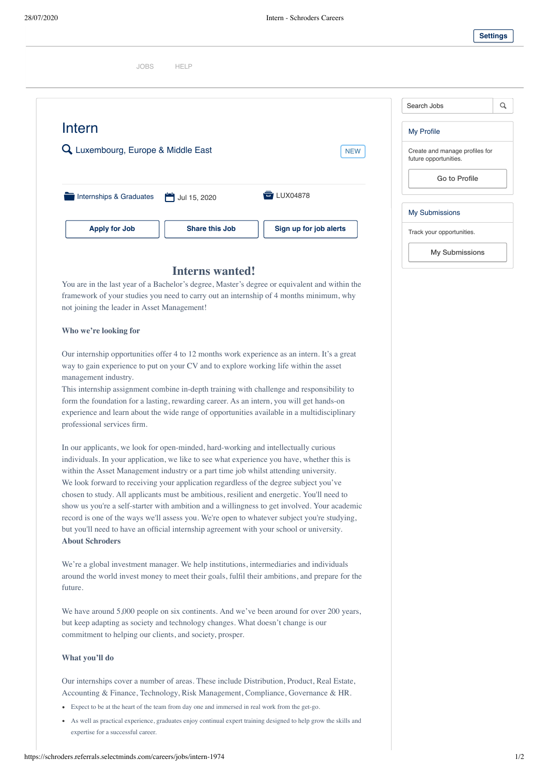

# [JOBS](https://schroders.referrals.selectminds.com/careers/) [HELP](https://schroders.referrals.selectminds.com/careers/info/help)

| <b>NEW</b>    |
|---------------|
|               |
|               |
|               |
| LUX04878<br>a |
|               |
|               |
|               |

## **Interns wanted!**

You are in the last year of a Bachelor's degree, Master's degree or equivalent and within the framework of your studies you need to carry out an internship of 4 months minimum, why not joining the leader in Asset Management!

### **Who we're looking for**

Our internship opportunities offer 4 to 12 months work experience as an intern. It's a great way to gain experience to put on your CV and to explore working life within the asset management industry.

This internship assignment combine in-depth training with challenge and responsibility to form the foundation for a lasting, rewarding career. As an intern, you will get hands-on experience and learn about the wide range of opportunities available in a multidisciplinary professional services firm.

In our applicants, we look for open-minded, hard-working and intellectually curious individuals. In your application, we like to see what experience you have, whether this is within the Asset Management industry or a part time job whilst attending university. We look forward to receiving your application regardless of the degree subject you've chosen to study. All applicants must be ambitious, resilient and energetic. You'll need to show us you're a self-starter with ambition and a willingness to get involved. Your academic record is one of the ways we'll assess you. We're open to whatever subject you're studying, but you'll need to have an official internship agreement with your school or university. **About Schroders**

We're a global investment manager. We help institutions, intermediaries and individuals around the world invest money to meet their goals, fulfil their ambitions, and prepare for the future.

We have around 5,000 people on six continents. And we've been around for over 200 years, but keep adapting as society and technology changes. What doesn't change is our commitment to helping our clients, and society, prosper.

#### **What you'll do**

Our internships cover a number of areas. These include Distribution, Product, Real Estate, Accounting & Finance, Technology, Risk Management, Compliance, Governance & HR.

- Expect to be at the heart of the team from day one and immersed in real work from the get-go.
- As well as practical experience, graduates enjoy continual expert training designed to help grow the skills and expertise for a successful career.

| Search Jobs                                             |  |
|---------------------------------------------------------|--|
| My Profile                                              |  |
| Create and manage profiles for<br>future opportunities. |  |
| Go to Profile                                           |  |
| <b>My Submissions</b>                                   |  |
| Track your opportunities.                               |  |
| <b>My Submissions</b>                                   |  |